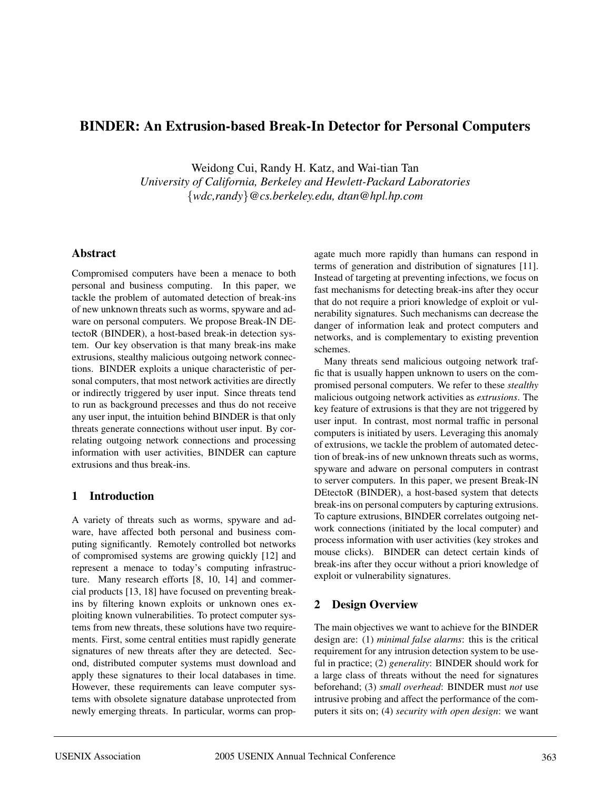# **BINDER: An Extrusion-based Break-In Detector for Personal Computers**

Weidong Cui, Randy H. Katz, and Wai-tian Tan *University of California, Berkeley and Hewlett-Packard Laboratories* {*wdc,randy*}*@cs.berkeley.edu, dtan@hpl.hp.com*

### **Abstract**

Compromised computers have been a menace to both personal and business computing. In this paper, we tackle the problem of automated detection of break-ins of new unknown threats such as worms, spyware and adware on personal computers. We propose Break-IN DEtectoR (BINDER), a host-based break-in detection system. Our key observation is that many break-ins make extrusions, stealthy malicious outgoing network connections. BINDER exploits a unique characteristic of personal computers, that most network activities are directly or indirectly triggered by user input. Since threats tend to run as background precesses and thus do not receive any user input, the intuition behind BINDER is that only threats generate connections without user input. By correlating outgoing network connections and processing information with user activities, BINDER can capture extrusions and thus break-ins.

## **1 Introduction**

A variety of threats such as worms, spyware and adware, have affected both personal and business computing significantly. Remotely controlled bot networks of compromised systems are growing quickly [12] and represent a menace to today's computing infrastructure. Many research efforts [8, 10, 14] and commercial products [13, 18] have focused on preventing breakins by filtering known exploits or unknown ones exploiting known vulnerabilities. To protect computer systems from new threats, these solutions have two requirements. First, some central entities must rapidly generate signatures of new threats after they are detected. Second, distributed computer systems must download and apply these signatures to their local databases in time. However, these requirements can leave computer systems with obsolete signature database unprotected from newly emerging threats. In particular, worms can propagate much more rapidly than humans can respond in terms of generation and distribution of signatures [11]. Instead of targeting at preventing infections, we focus on fast mechanisms for detecting break-ins after they occur that do not require a priori knowledge of exploit or vulnerability signatures. Such mechanisms can decrease the danger of information leak and protect computers and networks, and is complementary to existing prevention schemes.

Many threats send malicious outgoing network traffic that is usually happen unknown to users on the compromised personal computers. We refer to these *stealthy* malicious outgoing network activities as *extrusions*. The key feature of extrusions is that they are not triggered by user input. In contrast, most normal traffic in personal computers is initiated by users. Leveraging this anomaly of extrusions, we tackle the problem of automated detection of break-ins of new unknown threats such as worms, spyware and adware on personal computers in contrast to server computers. In this paper, we present Break-IN DEtectoR (BINDER), a host-based system that detects break-ins on personal computers by capturing extrusions. To capture extrusions, BINDER correlates outgoing network connections (initiated by the local computer) and process information with user activities (key strokes and mouse clicks). BINDER can detect certain kinds of break-ins after they occur without a priori knowledge of exploit or vulnerability signatures.

## **2 Design Overview**

The main objectives we want to achieve for the BINDER design are: (1) *minimal false alarms*: this is the critical requirement for any intrusion detection system to be useful in practice; (2) *generality*: BINDER should work for a large class of threats without the need for signatures beforehand; (3) *small overhead*: BINDER must *not* use intrusive probing and affect the performance of the computers it sits on; (4) *security with open design*: we want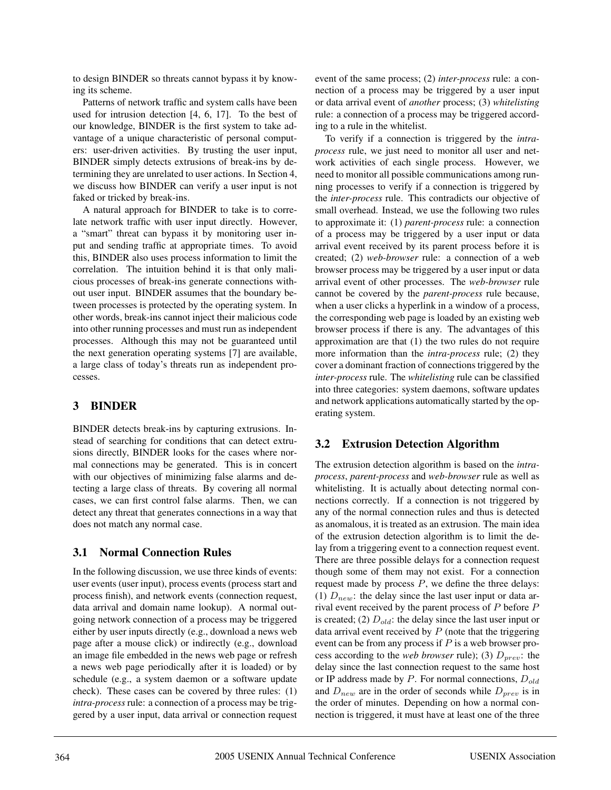to design BINDER so threats cannot bypass it by knowing its scheme.

Patterns of network traffic and system calls have been used for intrusion detection [4, 6, 17]. To the best of our knowledge, BINDER is the first system to take advantage of a unique characteristic of personal computers: user-driven activities. By trusting the user input, BINDER simply detects extrusions of break-ins by determining they are unrelated to user actions. In Section 4, we discuss how BINDER can verify a user input is not faked or tricked by break-ins.

A natural approach for BINDER to take is to correlate network traffic with user input directly. However, a "smart" threat can bypass it by monitoring user input and sending traffic at appropriate times. To avoid this, BINDER also uses process information to limit the correlation. The intuition behind it is that only malicious processes of break-ins generate connections without user input. BINDER assumes that the boundary between processes is protected by the operating system. In other words, break-ins cannot inject their malicious code into other running processes and must run as independent processes. Although this may not be guaranteed until the next generation operating systems [7] are available, a large class of today's threats run as independent processes.

## **3 BINDER**

BINDER detects break-ins by capturing extrusions. Instead of searching for conditions that can detect extrusions directly, BINDER looks for the cases where normal connections may be generated. This is in concert with our objectives of minimizing false alarms and detecting a large class of threats. By covering all normal cases, we can first control false alarms. Then, we can detect any threat that generates connections in a way that does not match any normal case.

## **3.1 Normal Connection Rules**

In the following discussion, we use three kinds of events: user events (user input), process events (process start and process finish), and network events (connection request, data arrival and domain name lookup). A normal outgoing network connection of a process may be triggered either by user inputs directly (e.g., download a news web page after a mouse click) or indirectly (e.g., download an image file embedded in the news web page or refresh a news web page periodically after it is loaded) or by schedule (e.g., a system daemon or a software update check). These cases can be covered by three rules: (1) *intra-process*rule: a connection of a process may be triggered by a user input, data arrival or connection request event of the same process; (2) *inter-process* rule: a connection of a process may be triggered by a user input or data arrival event of *another* process; (3) *whitelisting* rule: a connection of a process may be triggered according to a rule in the whitelist.

To verify if a connection is triggered by the *intraprocess* rule, we just need to monitor all user and network activities of each single process. However, we need to monitor all possible communications among running processes to verify if a connection is triggered by the *inter-process* rule. This contradicts our objective of small overhead. Instead, we use the following two rules to approximate it: (1) *parent-process* rule: a connection of a process may be triggered by a user input or data arrival event received by its parent process before it is created; (2) *web-browser* rule: a connection of a web browser process may be triggered by a user input or data arrival event of other processes. The *web-browser* rule cannot be covered by the *parent-process* rule because, when a user clicks a hyperlink in a window of a process, the corresponding web page is loaded by an existing web browser process if there is any. The advantages of this approximation are that (1) the two rules do not require more information than the *intra-process* rule; (2) they cover a dominant fraction of connections triggered by the *inter-process* rule. The *whitelisting* rule can be classified into three categories: system daemons, software updates and network applications automatically started by the operating system.

## **3.2 Extrusion Detection Algorithm**

The extrusion detection algorithm is based on the *intraprocess*, *parent-process* and *web-browser* rule as well as whitelisting. It is actually about detecting normal connections correctly. If a connection is not triggered by any of the normal connection rules and thus is detected as anomalous, it is treated as an extrusion. The main idea of the extrusion detection algorithm is to limit the delay from a triggering event to a connection request event. There are three possible delays for a connection request though some of them may not exist. For a connection request made by process  $P$ , we define the three delays: (1)  $D_{new}$ : the delay since the last user input or data arrival event received by the parent process of  $P$  before  $P$ is created; (2)  $D_{old}$ : the delay since the last user input or data arrival event received by  $P$  (note that the triggering event can be from any process if  $P$  is a web browser process according to the *web browser* rule); (3)  $D_{prev}$ : the delay since the last connection request to the same host or IP address made by  $P$ . For normal connections,  $D_{old}$ and  $D_{new}$  are in the order of seconds while  $D_{prev}$  is in the order of minutes. Depending on how a normal connection is triggered, it must have at least one of the three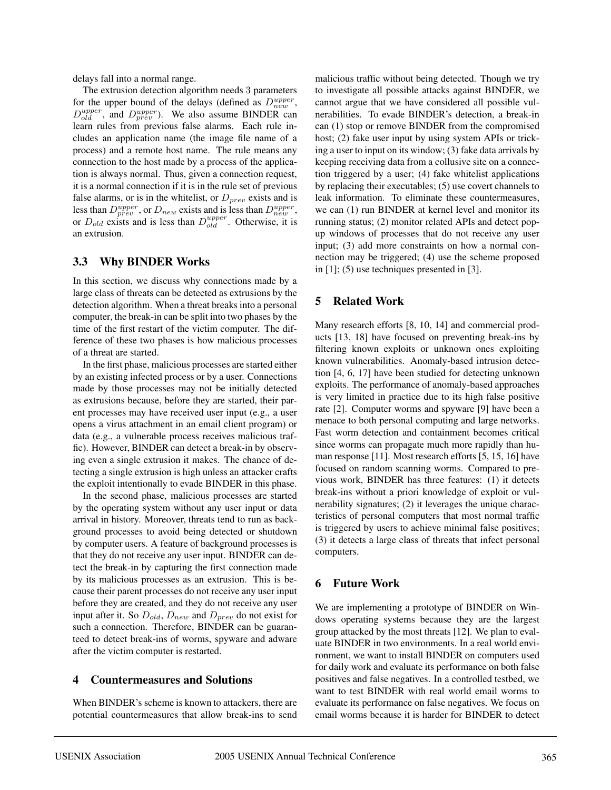delays fall into a normal range.

The extrusion detection algorithm needs 3 parameters for the upper bound of the delays (defined as  $D_{new}^{upper}$ ,  $D_{old}^{upper}$ , and  $D_{prev}^{upper}$ ). We also assume BINDER can learn rules from previous false alarms. Each rule includes an application name (the image file name of a process) and a remote host name. The rule means any connection to the host made by a process of the application is always normal. Thus, given a connection request, it is a normal connection if it is in the rule set of previous false alarms, or is in the whitelist, or  $D_{prev}$  exists and is less than  $D_{prev}^{upper}$ , or  $D_{new}$  exists and is less than  $D_{new}^{upper}$ , or  $D_{old}$  exists and is less than  $D_{old}^{upper}$ . Otherwise, it is an extrusion.

#### **3.3 Why BINDER Works**

In this section, we discuss why connections made by a large class of threats can be detected as extrusions by the detection algorithm. When a threat breaks into a personal computer, the break-in can be split into two phases by the time of the first restart of the victim computer. The difference of these two phases is how malicious processes of a threat are started.

In the first phase, malicious processes are started either by an existing infected process or by a user. Connections made by those processes may not be initially detected as extrusions because, before they are started, their parent processes may have received user input (e.g., a user opens a virus attachment in an email client program) or data (e.g., a vulnerable process receives malicious traffic). However, BINDER can detect a break-in by observing even a single extrusion it makes. The chance of detecting a single extrusion is high unless an attacker crafts the exploit intentionally to evade BINDER in this phase.

In the second phase, malicious processes are started by the operating system without any user input or data arrival in history. Moreover, threats tend to run as background processes to avoid being detected or shutdown by computer users. A feature of background processes is that they do not receive any user input. BINDER can detect the break-in by capturing the first connection made by its malicious processes as an extrusion. This is because their parent processes do not receive any user input before they are created, and they do not receive any user input after it. So  $D_{old}$ ,  $D_{new}$  and  $D_{prev}$  do not exist for such a connection. Therefore, BINDER can be guaranteed to detect break-ins of worms, spyware and adware after the victim computer is restarted.

### **4 Countermeasures and Solutions**

When BINDER's scheme is known to attackers, there are potential countermeasures that allow break-ins to send malicious traffic without being detected. Though we try to investigate all possible attacks against BINDER, we cannot argue that we have considered all possible vulnerabilities. To evade BINDER's detection, a break-in can (1) stop or remove BINDER from the compromised host; (2) fake user input by using system APIs or tricking a user to input on its window; (3) fake data arrivals by keeping receiving data from a collusive site on a connection triggered by a user; (4) fake whitelist applications by replacing their executables; (5) use covert channels to leak information. To eliminate these countermeasures, we can (1) run BINDER at kernel level and monitor its running status; (2) monitor related APIs and detect popup windows of processes that do not receive any user input; (3) add more constraints on how a normal connection may be triggered; (4) use the scheme proposed in [1]; (5) use techniques presented in [3].

### **5 Related Work**

Many research efforts [8, 10, 14] and commercial products [13, 18] have focused on preventing break-ins by filtering known exploits or unknown ones exploiting known vulnerabilities. Anomaly-based intrusion detection [4, 6, 17] have been studied for detecting unknown exploits. The performance of anomaly-based approaches is very limited in practice due to its high false positive rate [2]. Computer worms and spyware [9] have been a menace to both personal computing and large networks. Fast worm detection and containment becomes critical since worms can propagate much more rapidly than human response [11]. Most research efforts [5, 15, 16] have focused on random scanning worms. Compared to previous work, BINDER has three features: (1) it detects break-ins without a priori knowledge of exploit or vulnerability signatures; (2) it leverages the unique characteristics of personal computers that most normal traffic is triggered by users to achieve minimal false positives; (3) it detects a large class of threats that infect personal computers.

### **6 Future Work**

We are implementing a prototype of BINDER on Windows operating systems because they are the largest group attacked by the most threats [12]. We plan to evaluate BINDER in two environments. In a real world environment, we want to install BINDER on computers used for daily work and evaluate its performance on both false positives and false negatives. In a controlled testbed, we want to test BINDER with real world email worms to evaluate its performance on false negatives. We focus on email worms because it is harder for BINDER to detect